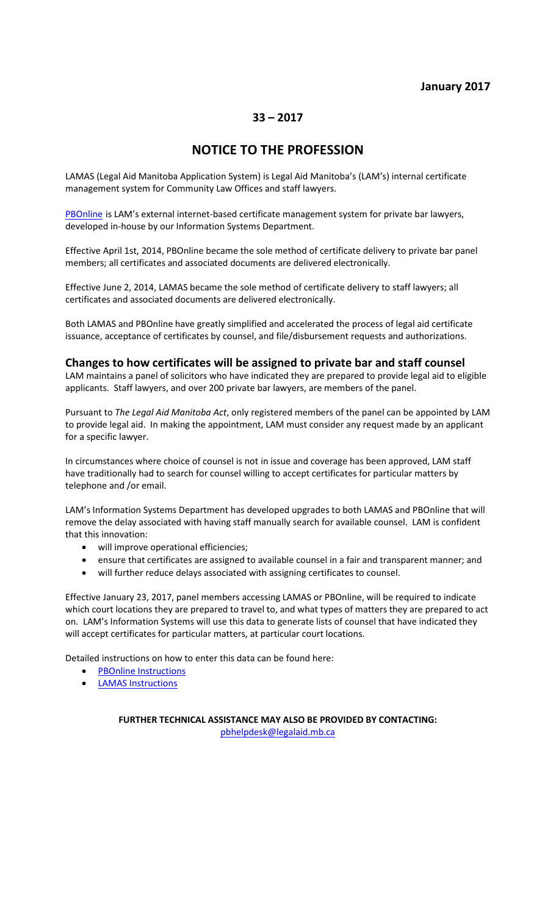### **January 2017**

### **33 – 2017**

# **NOTICE TO THE PROFESSION**

LAMAS (Legal Aid Manitoba Application System) is Legal Aid Manitoba's (LAM's) internal certificate management system for Community Law Offices and staff lawyers.

[PBOnline](http://www.legalaid.mb.ca/pdf/np_21_2013.pdf) is LAM's external internet-based certificate management system for private bar lawyers, developed in-house by our Information Systems Department.

Effective April 1st, 2014, PBOnline became the sole method of certificate delivery to private bar panel members; all certificates and associated documents are delivered electronically.

Effective June 2, 2014, LAMAS became the sole method of certificate delivery to staff lawyers; all certificates and associated documents are delivered electronically.

Both LAMAS and PBOnline have greatly simplified and accelerated the process of legal aid certificate issuance, acceptance of certificates by counsel, and file/disbursement requests and authorizations.

#### **Changes to how certificates will be assigned to private bar and staff counsel**

LAM maintains a panel of solicitors who have indicated they are prepared to provide legal aid to eligible applicants. Staff lawyers, and over 200 private bar lawyers, are members of the panel.

Pursuant to *The Legal Aid Manitoba Act*, only registered members of the panel can be appointed by LAM to provide legal aid. In making the appointment, LAM must consider any request made by an applicant for a specific lawyer.

In circumstances where choice of counsel is not in issue and coverage has been approved, LAM staff have traditionally had to search for counsel willing to accept certificates for particular matters by telephone and /or email.

LAM's Information Systems Department has developed upgrades to both LAMAS and PBOnline that will remove the delay associated with having staff manually search for available counsel. LAM is confident that this innovation:

- will improve operational efficiencies;
- ensure that certificates are assigned to available counsel in a fair and transparent manner; and
- will further reduce delays associated with assigning certificates to counsel.

Effective January 23, 2017, panel members accessing LAMAS or PBOnline, will be required to indicate which court locations they are prepared to travel to, and what types of matters they are prepared to act on. LAM's Information Systems will use this data to generate lists of counsel that have indicated they will accept certificates for particular matters, at particular court locations.

Detailed instructions on how to enter this data can be found here:

- [PBOnline Instructions](http://www.legalaid.mb.ca:3389/board/PBOnline%20Instructions.pdf)
- [LAMAS Instructions](http://www.legalaid.mb.ca:3389/board/LAMAS%20Instructions.pdf)

**FURTHER TECHNICAL ASSISTANCE MAY ALSO BE PROVIDED BY CONTACTING:** [pbhelpdesk@legalaid.mb.ca](mailto:pbhelpdesk@legalaid.mb.ca)